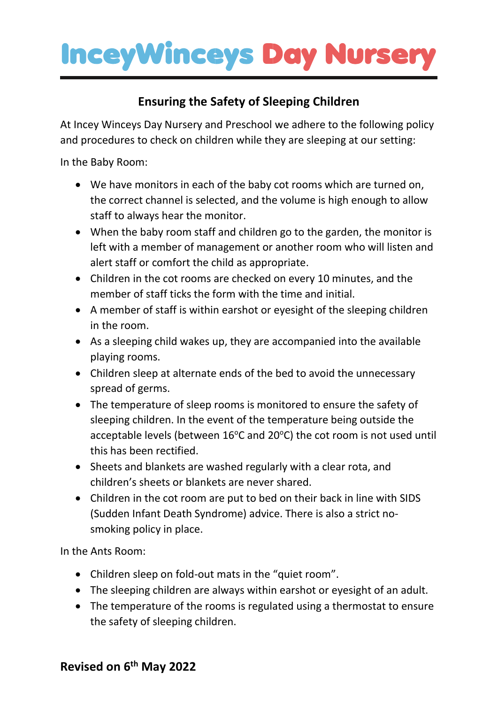## **InceyWinceys Day Nursery**

## **Ensuring the Safety of Sleeping Children**

At Incey Winceys Day Nursery and Preschool we adhere to the following policy and procedures to check on children while they are sleeping at our setting:

In the Baby Room:

- We have monitors in each of the baby cot rooms which are turned on, the correct channel is selected, and the volume is high enough to allow staff to always hear the monitor.
- When the baby room staff and children go to the garden, the monitor is left with a member of management or another room who will listen and alert staff or comfort the child as appropriate.
- Children in the cot rooms are checked on every 10 minutes, and the member of staff ticks the form with the time and initial.
- A member of staff is within earshot or eyesight of the sleeping children in the room.
- As a sleeping child wakes up, they are accompanied into the available playing rooms.
- Children sleep at alternate ends of the bed to avoid the unnecessary spread of germs.
- The temperature of sleep rooms is monitored to ensure the safety of sleeping children. In the event of the temperature being outside the acceptable levels (between  $16^{\circ}$ C and  $20^{\circ}$ C) the cot room is not used until this has been rectified.
- Sheets and blankets are washed regularly with a clear rota, and children's sheets or blankets are never shared.
- Children in the cot room are put to bed on their back in line with SIDS (Sudden Infant Death Syndrome) advice. There is also a strict nosmoking policy in place.

In the Ants Room:

- Children sleep on fold-out mats in the "quiet room".
- The sleeping children are always within earshot or eyesight of an adult.
- The temperature of the rooms is regulated using a thermostat to ensure the safety of sleeping children.